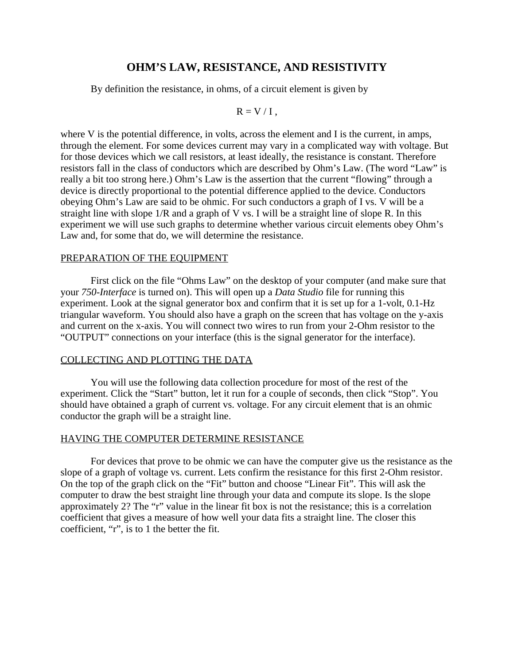# **OHM'S LAW, RESISTANCE, AND RESISTIVITY**

By definition the resistance, in ohms, of a circuit element is given by

$$
R = V / I,
$$

where V is the potential difference, in volts, across the element and I is the current, in amps, through the element. For some devices current may vary in a complicated way with voltage. But for those devices which we call resistors, at least ideally, the resistance is constant. Therefore resistors fall in the class of conductors which are described by Ohm's Law. (The word "Law" is really a bit too strong here.) Ohm's Law is the assertion that the current "flowing" through a device is directly proportional to the potential difference applied to the device. Conductors obeying Ohm's Law are said to be ohmic. For such conductors a graph of I vs. V will be a straight line with slope 1/R and a graph of V vs. I will be a straight line of slope R. In this experiment we will use such graphs to determine whether various circuit elements obey Ohm's Law and, for some that do, we will determine the resistance.

# PREPARATION OF THE EQUIPMENT

First click on the file "Ohms Law" on the desktop of your computer (and make sure that your *750-Interface* is turned on). This will open up a *Data Studio* file for running this experiment. Look at the signal generator box and confirm that it is set up for a 1-volt, 0.1-Hz triangular waveform. You should also have a graph on the screen that has voltage on the y-axis and current on the x-axis. You will connect two wires to run from your 2-Ohm resistor to the "OUTPUT" connections on your interface (this is the signal generator for the interface).

### COLLECTING AND PLOTTING THE DATA

You will use the following data collection procedure for most of the rest of the experiment. Click the "Start" button, let it run for a couple of seconds, then click "Stop". You should have obtained a graph of current vs. voltage. For any circuit element that is an ohmic conductor the graph will be a straight line.

# HAVING THE COMPUTER DETERMINE RESISTANCE

For devices that prove to be ohmic we can have the computer give us the resistance as the slope of a graph of voltage vs. current. Lets confirm the resistance for this first 2-Ohm resistor. On the top of the graph click on the "Fit" button and choose "Linear Fit". This will ask the computer to draw the best straight line through your data and compute its slope. Is the slope approximately 2? The "r" value in the linear fit box is not the resistance; this is a correlation coefficient that gives a measure of how well your data fits a straight line. The closer this coefficient, "r", is to 1 the better the fit.